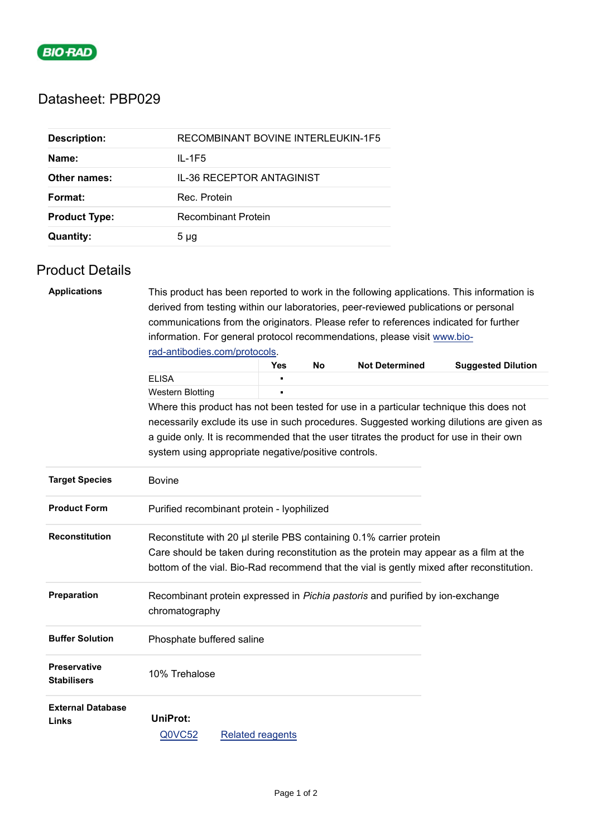

## Datasheet: PBP029

| <b>Description:</b>  | RECOMBINANT BOVINE INTERLEUKIN-1F5 |
|----------------------|------------------------------------|
| Name:                | $IL - 1F5$                         |
| Other names:         | IL-36 RECEPTOR ANTAGINIST          |
| Format:              | Rec. Protein                       |
| <b>Product Type:</b> | <b>Recombinant Protein</b>         |
| <b>Quantity:</b>     | 5 <sub>µq</sub>                    |

## Product Details

| <b>Applications</b>      |                                                                                                           | This product has been reported to work in the following applications. This information is |           |                       |                           |  |  |
|--------------------------|-----------------------------------------------------------------------------------------------------------|-------------------------------------------------------------------------------------------|-----------|-----------------------|---------------------------|--|--|
|                          | derived from testing within our laboratories, peer-reviewed publications or personal                      |                                                                                           |           |                       |                           |  |  |
|                          | communications from the originators. Please refer to references indicated for further                     |                                                                                           |           |                       |                           |  |  |
|                          | information. For general protocol recommendations, please visit www.bio-<br>rad-antibodies.com/protocols. |                                                                                           |           |                       |                           |  |  |
|                          |                                                                                                           |                                                                                           |           |                       |                           |  |  |
|                          |                                                                                                           | <b>Yes</b>                                                                                | <b>No</b> | <b>Not Determined</b> | <b>Suggested Dilution</b> |  |  |
|                          | <b>ELISA</b>                                                                                              |                                                                                           |           |                       |                           |  |  |
|                          | Western Blotting                                                                                          |                                                                                           |           |                       |                           |  |  |
|                          | Where this product has not been tested for use in a particular technique this does not                    |                                                                                           |           |                       |                           |  |  |
|                          | necessarily exclude its use in such procedures. Suggested working dilutions are given as                  |                                                                                           |           |                       |                           |  |  |
|                          | a guide only. It is recommended that the user titrates the product for use in their own                   |                                                                                           |           |                       |                           |  |  |
|                          | system using appropriate negative/positive controls.                                                      |                                                                                           |           |                       |                           |  |  |
| <b>Target Species</b>    | <b>Bovine</b>                                                                                             |                                                                                           |           |                       |                           |  |  |
| <b>Product Form</b>      | Purified recombinant protein - lyophilized                                                                |                                                                                           |           |                       |                           |  |  |
| <b>Reconstitution</b>    | Reconstitute with 20 µl sterile PBS containing 0.1% carrier protein                                       |                                                                                           |           |                       |                           |  |  |
|                          | Care should be taken during reconstitution as the protein may appear as a film at the                     |                                                                                           |           |                       |                           |  |  |
|                          | bottom of the vial. Bio-Rad recommend that the vial is gently mixed after reconstitution.                 |                                                                                           |           |                       |                           |  |  |
| Preparation              | Recombinant protein expressed in Pichia pastoris and purified by ion-exchange                             |                                                                                           |           |                       |                           |  |  |
|                          | chromatography                                                                                            |                                                                                           |           |                       |                           |  |  |
| <b>Buffer Solution</b>   | Phosphate buffered saline                                                                                 |                                                                                           |           |                       |                           |  |  |
|                          |                                                                                                           |                                                                                           |           |                       |                           |  |  |
| <b>Preservative</b>      | 10% Trehalose                                                                                             |                                                                                           |           |                       |                           |  |  |
| <b>Stabilisers</b>       |                                                                                                           |                                                                                           |           |                       |                           |  |  |
| <b>External Database</b> |                                                                                                           |                                                                                           |           |                       |                           |  |  |
| Links                    | <b>UniProt:</b>                                                                                           |                                                                                           |           |                       |                           |  |  |
|                          | Q0VC52                                                                                                    | <b>Related reagents</b>                                                                   |           |                       |                           |  |  |